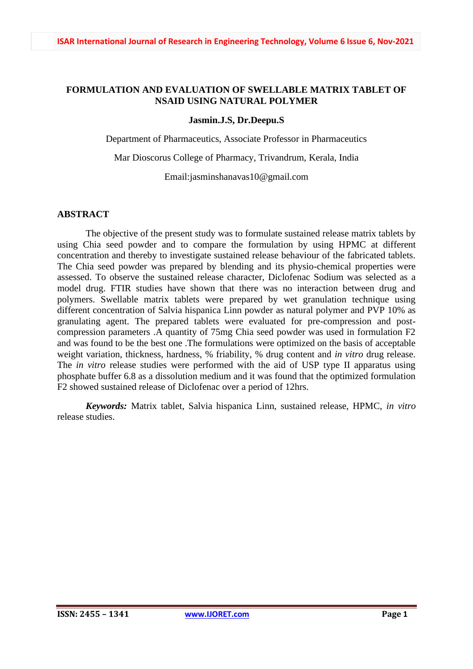### **FORMULATION AND EVALUATION OF SWELLABLE MATRIX TABLET OF NSAID USING NATURAL POLYMER**

#### **Jasmin.J.S, Dr.Deepu.S**

Department of Pharmaceutics, Associate Professor in Pharmaceutics

Mar Dioscorus College of Pharmacy, Trivandrum, Kerala, India

Email:jasminshanavas10@gmail.com

### **ABSTRACT**

The objective of the present study was to formulate sustained release matrix tablets by using Chia seed powder and to compare the formulation by using HPMC at different concentration and thereby to investigate sustained release behaviour of the fabricated tablets. The Chia seed powder was prepared by blending and its physio-chemical properties were assessed. To observe the sustained release character, Diclofenac Sodium was selected as a model drug. FTIR studies have shown that there was no interaction between drug and polymers. Swellable matrix tablets were prepared by wet granulation technique using different concentration of Salvia hispanica Linn powder as natural polymer and PVP 10% as granulating agent. The prepared tablets were evaluated for pre-compression and postcompression parameters .A quantity of 75mg Chia seed powder was used in formulation F2 and was found to be the best one .The formulations were optimized on the basis of acceptable weight variation, thickness, hardness, % friability, % drug content and *in vitro* drug release. The *in vitro* release studies were performed with the aid of USP type II apparatus using phosphate buffer 6.8 as a dissolution medium and it was found that the optimized formulation F2 showed sustained release of Diclofenac over a period of 12hrs.

*Keywords:* Matrix tablet, Salvia hispanica Linn, sustained release, HPMC, *in vitro* release studies.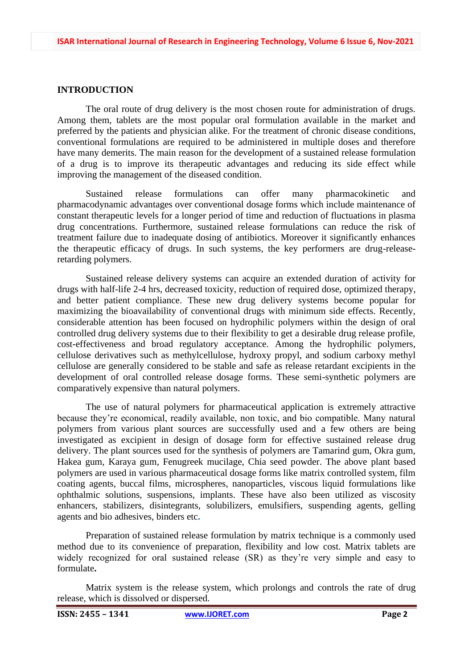### **INTRODUCTION**

The oral route of drug delivery is the most chosen route for administration of drugs. Among them, tablets are the most popular oral formulation available in the market and preferred by the patients and physician alike. For the treatment of chronic disease conditions, conventional formulations are required to be administered in multiple doses and therefore have many demerits. The main reason for the development of a sustained release formulation of a drug is to improve its therapeutic advantages and reducing its side effect while improving the management of the diseased condition.

Sustained release formulations can offer many pharmacokinetic and pharmacodynamic advantages over conventional dosage forms which include maintenance of constant therapeutic levels for a longer period of time and reduction of fluctuations in plasma drug concentrations. Furthermore, sustained release formulations can reduce the risk of treatment failure due to inadequate dosing of antibiotics. Moreover it significantly enhances the therapeutic efficacy of drugs. In such systems, the key performers are drug-releaseretarding polymers.

Sustained release delivery systems can acquire an extended duration of activity for drugs with half-life 2-4 hrs, decreased toxicity, reduction of required dose, optimized therapy, and better patient compliance. These new drug delivery systems become popular for maximizing the bioavailability of conventional drugs with minimum side effects. Recently, considerable attention has been focused on hydrophilic polymers within the design of oral controlled drug delivery systems due to their flexibility to get a desirable drug release profile, cost-effectiveness and broad regulatory acceptance. Among the hydrophilic polymers, cellulose derivatives such as methylcellulose, hydroxy propyl, and sodium carboxy methyl cellulose are generally considered to be stable and safe as release retardant excipients in the development of oral controlled release dosage forms. These semi-synthetic polymers are comparatively expensive than natural polymers.

The use of natural polymers for pharmaceutical application is extremely attractive because they're economical, readily available, non toxic, and bio compatible. Many natural polymers from various plant sources are successfully used and a few others are being investigated as excipient in design of dosage form for effective sustained release drug delivery. The plant sources used for the synthesis of polymers are Tamarind gum, Okra gum, Hakea gum, Karaya gum, Fenugreek mucilage, Chia seed powder. The above plant based polymers are used in various pharmaceutical dosage forms like matrix controlled system, film coating agents, buccal films, microspheres, nanoparticles, viscous liquid formulations like ophthalmic solutions, suspensions, implants. These have also been utilized as viscosity enhancers, stabilizers, disintegrants, solubilizers, emulsifiers, suspending agents, gelling agents and bio adhesives, binders etc**.**

Preparation of sustained release formulation by matrix technique is a commonly used method due to its convenience of preparation, flexibility and low cost. Matrix tablets are widely recognized for oral sustained release (SR) as they're very simple and easy to formulate**.**

Matrix system is the release system, which prolongs and controls the rate of drug release, which is dissolved or dispersed.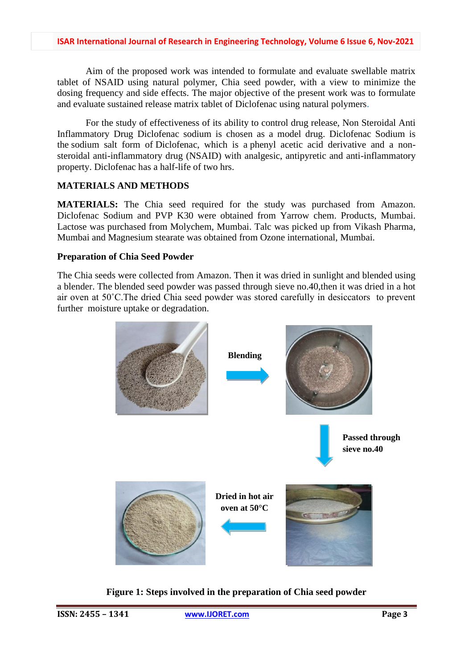Aim of the proposed work was intended to formulate and evaluate swellable matrix tablet of NSAID using natural polymer, Chia seed powder, with a view to minimize the dosing frequency and side effects. The major objective of the present work was to formulate and evaluate sustained release matrix tablet of Diclofenac using natural polymers.

For the study of effectiveness of its ability to control drug release, Non Steroidal Anti Inflammatory Drug Diclofenac sodium is chosen as a model drug. Diclofenac Sodium is the sodium salt form of Diclofenac, which is a phenyl acetic acid derivative and a nonsteroidal anti-inflammatory drug (NSAID) with analgesic, antipyretic and anti-inflammatory property. Diclofenac has a half-life of two hrs.

# **MATERIALS AND METHODS**

**MATERIALS:** The Chia seed required for the study was purchased from Amazon. Diclofenac Sodium and PVP K30 were obtained from Yarrow chem. Products, Mumbai. Lactose was purchased from Molychem, Mumbai. Talc was picked up from Vikash Pharma, Mumbai and Magnesium stearate was obtained from Ozone international, Mumbai.

### **Preparation of Chia Seed Powder**

The Chia seeds were collected from Amazon. Then it was dried in sunlight and blended using a blender. The blended seed powder was passed through sieve no.40,then it was dried in a hot air oven at 50˚C.The dried Chia seed powder was stored carefully in desiccators to prevent further moisture uptake or degradation.



**Figure 1: Steps involved in the preparation of Chia seed powder**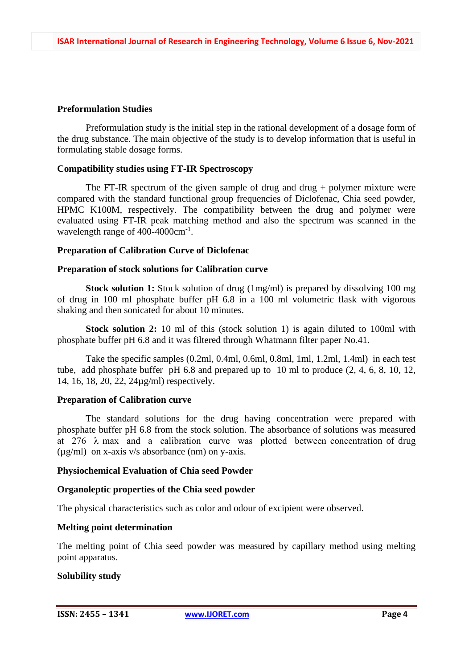#### **Preformulation Studies**

Preformulation study is the initial step in the rational development of a dosage form of the drug substance. The main objective of the study is to develop information that is useful in formulating stable dosage forms.

#### **Compatibility studies using FT-IR Spectroscopy**

The FT-IR spectrum of the given sample of drug and drug  $+$  polymer mixture were compared with the standard functional group frequencies of Diclofenac, Chia seed powder, HPMC K100M, respectively. The compatibility between the drug and polymer were evaluated using FT-IR peak matching method and also the spectrum was scanned in the wavelength range of 400-4000cm<sup>-1</sup>.

#### **Preparation of Calibration Curve of Diclofenac**

#### **Preparation of stock solutions for Calibration curve**

**Stock solution 1:** Stock solution of drug (1mg/ml) is prepared by dissolving 100 mg of drug in 100 ml phosphate buffer pH 6.8 in a 100 ml volumetric flask with vigorous shaking and then sonicated for about 10 minutes.

**Stock solution 2:** 10 ml of this (stock solution 1) is again diluted to 100ml with phosphate buffer pH 6.8 and it was filtered through Whatmann filter paper No.41.

Take the specific samples (0.2ml, 0.4ml, 0.6ml, 0.8ml, 1ml, 1.2ml, 1.4ml) in each test tube, add phosphate buffer pH 6.8 and prepared up to 10 ml to produce (2, 4, 6, 8, 10, 12, 14, 16, 18, 20, 22, 24µg/ml) respectively.

### **Preparation of Calibration curve**

The standard solutions for the drug having concentration were prepared with phosphate buffer pH 6.8 from the stock solution. The absorbance of solutions was measured at 276  $\lambda$  max and a calibration curve was plotted between concentration of drug (µg/ml) on x-axis v/s absorbance (nm) on y-axis.

### **Physiochemical Evaluation of Chia seed Powder**

### **Organoleptic properties of the Chia seed powder**

The physical characteristics such as color and odour of excipient were observed.

#### **Melting point determination**

The melting point of Chia seed powder was measured by capillary method using melting point apparatus.

### **Solubility study**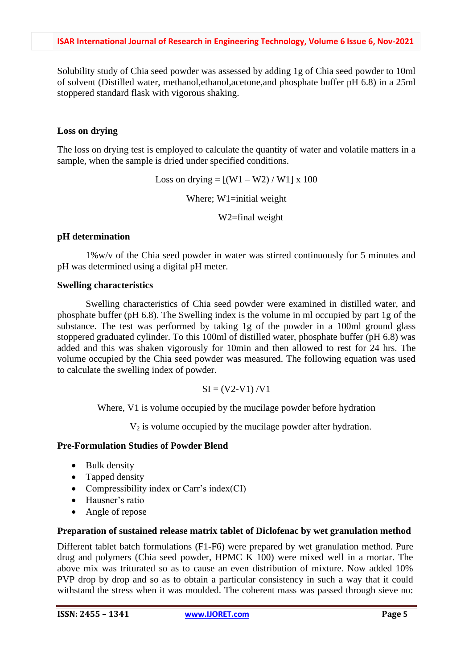Solubility study of Chia seed powder was assessed by adding 1g of Chia seed powder to 10ml of solvent (Distilled water, methanol,ethanol,acetone,and phosphate buffer pH 6.8) in a 25ml stoppered standard flask with vigorous shaking.

### **Loss on drying**

The loss on drying test is employed to calculate the quantity of water and volatile matters in a sample, when the sample is dried under specified conditions.

Loss on drying  $= [(W1 - W2) / W1] \times 100$ 

Where; W1=initial weight

W2=final weight

### **pH determination**

1%w/v of the Chia seed powder in water was stirred continuously for 5 minutes and pH was determined using a digital pH meter.

### **Swelling characteristics**

Swelling characteristics of Chia seed powder were examined in distilled water, and phosphate buffer (pH 6.8). The Swelling index is the volume in ml occupied by part 1g of the substance. The test was performed by taking 1g of the powder in a 100ml ground glass stoppered graduated cylinder. To this 100ml of distilled water, phosphate buffer (pH 6.8) was added and this was shaken vigorously for 10min and then allowed to rest for 24 hrs. The volume occupied by the Chia seed powder was measured. The following equation was used to calculate the swelling index of powder.

$$
SI = (V2-V1) / V1
$$

Where, V1 is volume occupied by the mucilage powder before hydration

 $V_2$  is volume occupied by the mucilage powder after hydration.

### **Pre-Formulation Studies of Powder Blend**

- Bulk density
- Tapped density
- Compressibility index or Carr's index(CI)
- Hausner's ratio
- Angle of repose

### **Preparation of sustained release matrix tablet of Diclofenac by wet granulation method**

Different tablet batch formulations (F1-F6) were prepared by wet granulation method. Pure drug and polymers (Chia seed powder, HPMC K 100) were mixed well in a mortar. The above mix was triturated so as to cause an even distribution of mixture. Now added 10% PVP drop by drop and so as to obtain a particular consistency in such a way that it could withstand the stress when it was moulded. The coherent mass was passed through sieve no: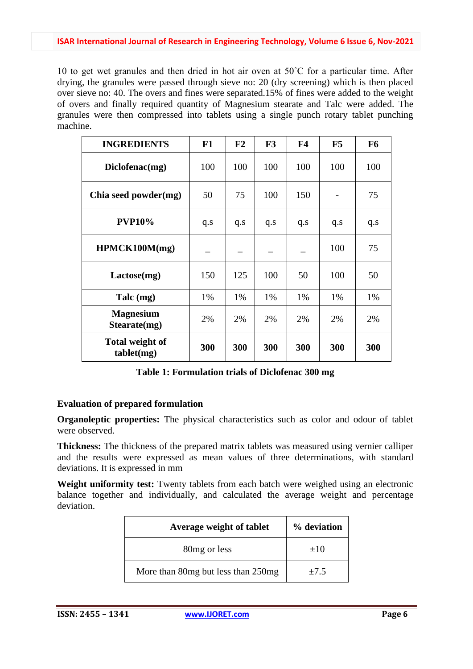10 to get wet granules and then dried in hot air oven at 50˚C for a particular time. After drying, the granules were passed through sieve no: 20 (dry screening) which is then placed over sieve no: 40. The overs and fines were separated.15% of fines were added to the weight of overs and finally required quantity of Magnesium stearate and Talc were added. The granules were then compressed into tablets using a single punch rotary tablet punching machine.

| <b>INGREDIENTS</b>                   | F1  | F2  | F3  | F <sub>4</sub> | F5  | F <sub>6</sub> |
|--------------------------------------|-----|-----|-----|----------------|-----|----------------|
| Diclofenac(mg)                       | 100 | 100 | 100 | 100            | 100 | 100            |
| Chia seed powder(mg)                 | 50  | 75  | 100 | 150            |     | 75             |
| <b>PVP10%</b>                        | q.s | q.s | q.s | q.s            | q.s | q.s            |
| HPMCK100M(mg)                        |     |     |     |                | 100 | 75             |
| Lactose(mg)                          | 150 | 125 | 100 | 50             | 100 | 50             |
| Talc (mg)                            | 1%  | 1%  | 1%  | 1%             | 1%  | 1%             |
| <b>Magnesium</b><br>Stearate(mg)     | 2%  | 2%  | 2%  | 2%             | 2%  | 2%             |
| <b>Total weight of</b><br>tablet(mg) | 300 | 300 | 300 | 300            | 300 | 300            |

**Table 1: Formulation trials of Diclofenac 300 mg**

### **Evaluation of prepared formulation**

**Organoleptic properties:** The physical characteristics such as color and odour of tablet were observed.

**Thickness:** The thickness of the prepared matrix tablets was measured using vernier calliper and the results were expressed as mean values of three determinations, with standard deviations. It is expressed in mm

**Weight uniformity test:** Twenty tablets from each batch were weighed using an electronic balance together and individually, and calculated the average weight and percentage deviation.

| Average weight of tablet           | % deviation |
|------------------------------------|-------------|
| 80 <sub>mg</sub> or less           | $+10$       |
| More than 80mg but less than 250mg | $\pm 7.5$   |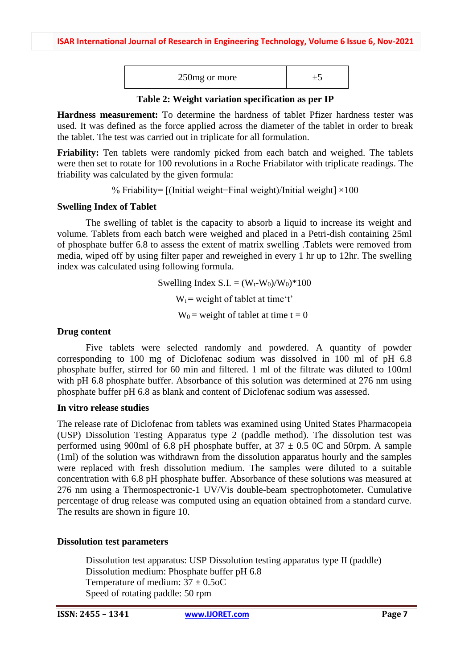| 250 mg or more |  |  |
|----------------|--|--|
|----------------|--|--|

**Table 2: Weight variation specification as per IP**

**Hardness measurement:** To determine the hardness of tablet Pfizer hardness tester was used. It was defined as the force applied across the diameter of the tablet in order to break the tablet. The test was carried out in triplicate for all formulation.

**Friability:** Ten tablets were randomly picked from each batch and weighed. The tablets were then set to rotate for 100 revolutions in a Roche Friabilator with triplicate readings. The friability was calculated by the given formula:

% Friability= [(Initial weight−Final weight)/Initial weight] ×100

### **Swelling Index of Tablet**

The swelling of tablet is the capacity to absorb a liquid to increase its weight and volume. Tablets from each batch were weighed and placed in a Petri-dish containing 25ml of phosphate buffer 6.8 to assess the extent of matrix swelling .Tablets were removed from media, wiped off by using filter paper and reweighed in every 1 hr up to 12hr. The swelling index was calculated using following formula.

> Swelling Index S.I. =  $(W_t-W_0)/W_0$ <sup>\*</sup>100  $W_t$  = weight of tablet at time't'  $W_0$  = weight of tablet at time t = 0

### **Drug content**

Five tablets were selected randomly and powdered. A quantity of powder corresponding to 100 mg of Diclofenac sodium was dissolved in 100 ml of pH 6.8 phosphate buffer, stirred for 60 min and filtered. 1 ml of the filtrate was diluted to 100ml with pH 6.8 phosphate buffer. Absorbance of this solution was determined at 276 nm using phosphate buffer pH 6.8 as blank and content of Diclofenac sodium was assessed.

### **In vitro release studies**

The release rate of Diclofenac from tablets was examined using United States Pharmacopeia (USP) Dissolution Testing Apparatus type 2 (paddle method). The dissolution test was performed using 900ml of 6.8 pH phosphate buffer, at  $37 \pm 0.5$  OC and 50rpm. A sample (1ml) of the solution was withdrawn from the dissolution apparatus hourly and the samples were replaced with fresh dissolution medium. The samples were diluted to a suitable concentration with 6.8 pH phosphate buffer. Absorbance of these solutions was measured at 276 nm using a Thermospectronic-1 UV/Vis double-beam spectrophotometer. Cumulative percentage of drug release was computed using an equation obtained from a standard curve. The results are shown in figure 10.

### **Dissolution test parameters**

Dissolution test apparatus: USP Dissolution testing apparatus type II (paddle) Dissolution medium: Phosphate buffer pH 6.8 Temperature of medium:  $37 \pm 0.5$ oC Speed of rotating paddle: 50 rpm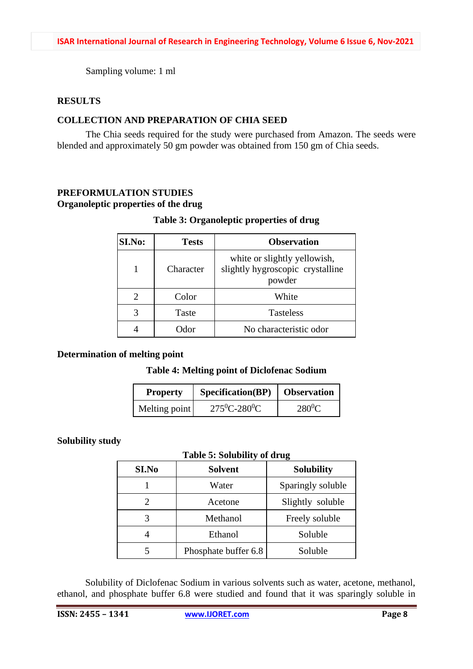Sampling volume: 1 ml

### **RESULTS**

# **COLLECTION AND PREPARATION OF CHIA SEED**

The Chia seeds required for the study were purchased from Amazon. The seeds were blended and approximately 50 gm powder was obtained from 150 gm of Chia seeds.

# **PREFORMULATION STUDIES**

### **Organoleptic properties of the drug**

### **Table 3: Organoleptic properties of drug**

| SI.No: | <b>Tests</b> | <b>Observation</b>                                                         |
|--------|--------------|----------------------------------------------------------------------------|
|        | Character    | white or slightly yellowish,<br>slightly hygroscopic crystalline<br>powder |
|        | Color        | White                                                                      |
|        | Taste        | <b>Tasteless</b>                                                           |
|        | <b>D</b> dor | No characteristic odor                                                     |

### **Determination of melting point**

### **Table 4: Melting point of Diclofenac Sodium**

| <b>Property</b> | <b>Specification</b> (BP) | <b>Observation</b> |
|-----------------|---------------------------|--------------------|
| Melting point   | $275^0C - 280^0C$         | $280^0C$           |

### **Solubility study**

### **Table 5: Solubility of drug**

| <b>SI.No</b> | <b>Solvent</b>       | <b>Solubility</b> |
|--------------|----------------------|-------------------|
|              | Water                | Sparingly soluble |
|              | Acetone              | Slightly soluble  |
|              | Methanol             | Freely soluble    |
|              | Ethanol              | Soluble           |
|              | Phosphate buffer 6.8 | Soluble           |

Solubility of Diclofenac Sodium in various solvents such as water, acetone, methanol, ethanol, and phosphate buffer 6.8 were studied and found that it was sparingly soluble in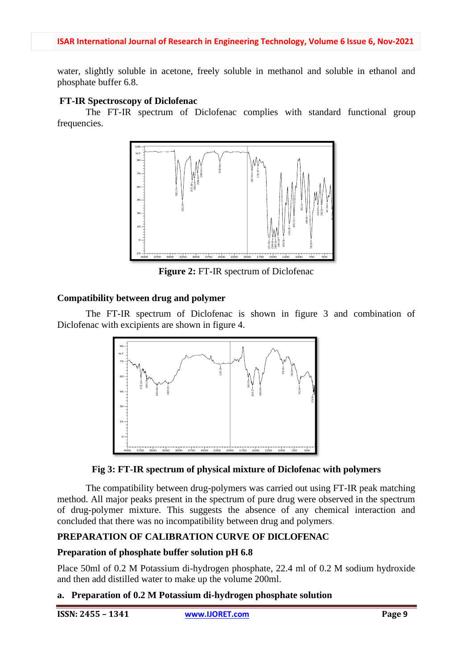water, slightly soluble in acetone, freely soluble in methanol and soluble in ethanol and phosphate buffer 6.8.

### **FT-IR Spectroscopy of Diclofenac**

The FT-IR spectrum of Diclofenac complies with standard functional group frequencies.



**Figure 2:** FT-IR spectrum of Diclofenac

### **Compatibility between drug and polymer**

The FT-IR spectrum of Diclofenac is shown in figure 3 and combination of Diclofenac with excipients are shown in figure 4.





The compatibility between drug-polymers was carried out using FT-IR peak matching method. All major peaks present in the spectrum of pure drug were observed in the spectrum of drug-polymer mixture. This suggests the absence of any chemical interaction and concluded that there was no incompatibility between drug and polymers.

### **PREPARATION OF CALIBRATION CURVE OF DICLOFENAC**

### **Preparation of phosphate buffer solution pH 6.8**

Place 50ml of 0.2 M Potassium di-hydrogen phosphate, 22.4 ml of 0.2 M sodium hydroxide and then add distilled water to make up the volume 200ml.

### **a. Preparation of 0.2 M Potassium di-hydrogen phosphate solution**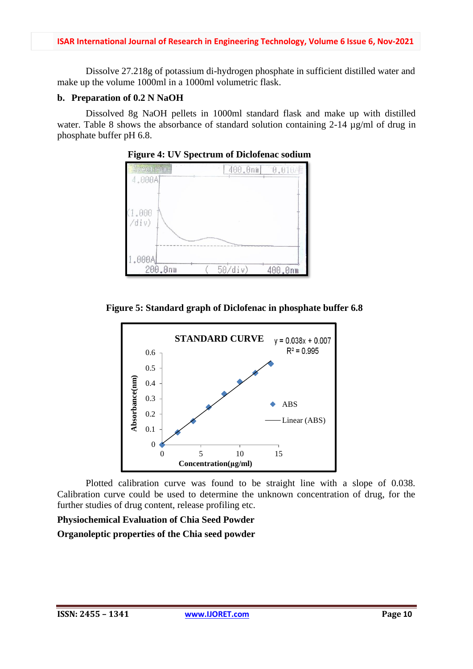Dissolve 27.218g of potassium di-hydrogen phosphate in sufficient distilled water and make up the volume 1000ml in a 1000ml volumetric flask.

### **b. Preparation of 0.2 N NaOH**

Dissolved 8g NaOH pellets in 1000ml standard flask and make up with distilled water. Table 8 shows the absorbance of standard solution containing 2-14  $\mu$ g/ml of drug in phosphate buffer pH 6.8.



**Figure 4: UV Spectrum of Diclofenac sodium**

**Figure 5: Standard graph of Diclofenac in phosphate buffer 6.8**



Plotted calibration curve was found to be straight line with a slope of 0.038. Calibration curve could be used to determine the unknown concentration of drug, for the further studies of drug content, release profiling etc.

# **Physiochemical Evaluation of Chia Seed Powder Organoleptic properties of the Chia seed powder**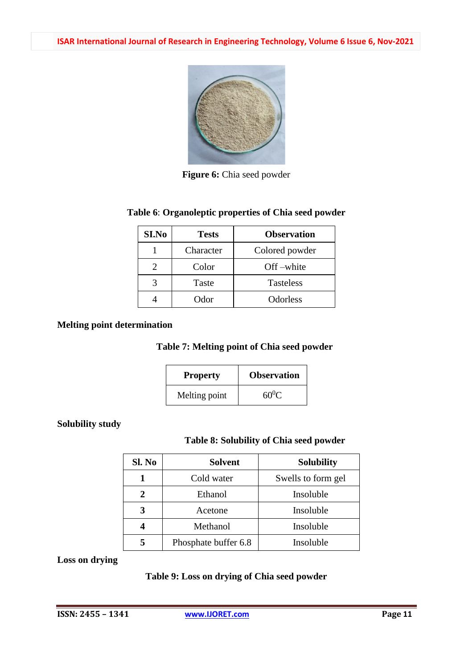

**Figure 6:** Chia seed powder

### **Table 6**: **Organoleptic properties of Chia seed powder**

| SI.No | <b>Tests</b> | <b>Observation</b> |
|-------|--------------|--------------------|
|       | Character    | Colored powder     |
|       | Color        | Off-white          |
| 3     | Taste        | <b>Tasteless</b>   |
|       | Odor         | Odorless           |

### **Melting point determination**

### **Table 7: Melting point of Chia seed powder**

| <b>Property</b> | <b>Observation</b> |
|-----------------|--------------------|
| Melting point   | $60^0$ C           |

### **Solubility study**

### **Table 8: Solubility of Chia seed powder**

| Sl. No | <b>Solvent</b>       | <b>Solubility</b>  |
|--------|----------------------|--------------------|
|        | Cold water           | Swells to form gel |
| 2      | Ethanol              | Insoluble          |
| 3      | Acetone              | Insoluble          |
|        | Methanol             | Insoluble          |
| 5      | Phosphate buffer 6.8 | Insoluble          |

**Loss on drying**

# **Table 9: Loss on drying of Chia seed powder**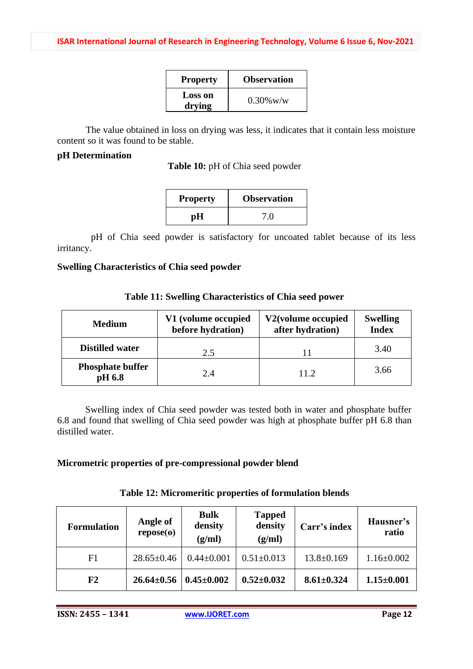| <b>Property</b>   | <b>Observation</b> |
|-------------------|--------------------|
| Loss on<br>drying | $0.30\%$ w/w       |

The value obtained in loss on drying was less, it indicates that it contain less moisture content so it was found to be stable.

# **pH Determination**

**Table 10:** pH of Chia seed powder

| <b>Property</b> | <b>Observation</b> |
|-----------------|--------------------|
| рH              | 7.0                |

pH of Chia seed powder is satisfactory for uncoated tablet because of its less irritancy.

### **Swelling Characteristics of Chia seed powder**

| <b>Medium</b>                     | V1 (volume occupied<br>before hydration) | V2(volume occupied<br>after hydration) | <b>Swelling</b><br><b>Index</b> |
|-----------------------------------|------------------------------------------|----------------------------------------|---------------------------------|
| <b>Distilled water</b>            | 2.5                                      |                                        | 3.40                            |
| <b>Phosphate buffer</b><br>pH 6.8 | 2.4                                      | 11.2.                                  | 3.66                            |

Swelling index of Chia seed powder was tested both in water and phosphate buffer 6.8 and found that swelling of Chia seed powder was high at phosphate buffer pH 6.8 than distilled water.

### **Micrometric properties of pre-compressional powder blend**

| <b>Formulation</b> | <b>Bulk</b><br>Angle of<br>density<br>$\text{repose}(\theta)$<br>(g/ml)<br>(g/ml) |                  | <b>Tapped</b><br>density | Carr's index     | Hausner's<br>ratio |  |
|--------------------|-----------------------------------------------------------------------------------|------------------|--------------------------|------------------|--------------------|--|
| F1                 | $28.65 \pm 0.46$                                                                  | $0.44 \pm 0.001$ | $0.51 \pm 0.013$         | $13.8 \pm 0.169$ | $1.16 \pm 0.002$   |  |
| F2                 | $26.64 \pm 0.56$                                                                  | $0.45 \pm 0.002$ | $0.52 \pm 0.032$         | $8.61 \pm 0.324$ | $1.15 \pm 0.001$   |  |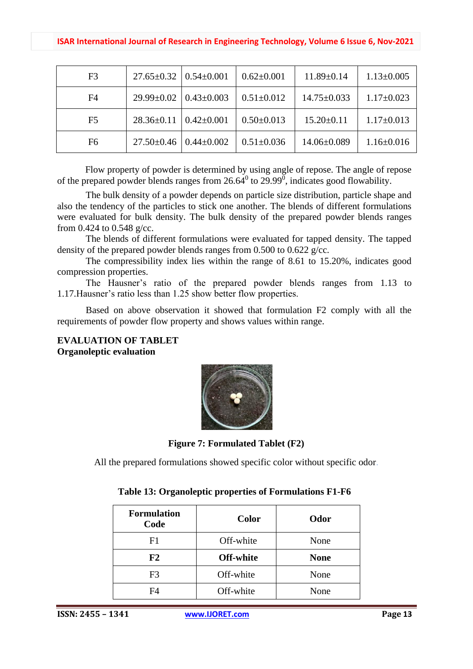### **ISAR International Journal of Research in Engineering Technology, Volume 6 Issue 6, Nov-2021**

| F3             | $27.65 \pm 0.32$   0.54 $\pm$ 0.001 |                  | $0.62 \pm 0.001$ | $11.89 \pm 0.14$  | $1.13 \pm 0.005$ |
|----------------|-------------------------------------|------------------|------------------|-------------------|------------------|
| F4             | $29.99 \pm 0.02$                    | $0.43 \pm 0.003$ | $0.51 \pm 0.012$ | $14.75 \pm 0.033$ | $1.17\pm0.023$   |
| F <sub>5</sub> | $28.36 \pm 0.11$                    | $0.42 \pm 0.001$ | $0.50 \pm 0.013$ | $15.20 \pm 0.11$  | $1.17\pm0.013$   |
| F6             | $27.50 \pm 0.46$                    | $0.44 \pm 0.002$ | $0.51 \pm 0.036$ | $14.06\pm0.089$   | $1.16 \pm 0.016$ |

Flow property of powder is determined by using angle of repose. The angle of repose of the prepared powder blends ranges from  $26.64<sup>0</sup>$  to  $29.99<sup>0</sup>$ , indicates good flowability.

The bulk density of a powder depends on particle size distribution, particle shape and also the tendency of the particles to stick one another. The blends of different formulations were evaluated for bulk density. The bulk density of the prepared powder blends ranges from 0.424 to 0.548 g/cc.

The blends of different formulations were evaluated for tapped density. The tapped density of the prepared powder blends ranges from 0.500 to 0.622 g/cc.

The compressibility index lies within the range of 8.61 to 15.20%, indicates good compression properties.

The Hausner's ratio of the prepared powder blends ranges from 1.13 to 1.17.Hausner's ratio less than 1.25 show better flow properties.

Based on above observation it showed that formulation F2 comply with all the requirements of powder flow property and shows values within range.

### **EVALUATION OF TABLET Organoleptic evaluation**



**Figure 7: Formulated Tablet (F2)**

All the prepared formulations showed specific color without specific odor.

| <b>Formulation</b><br>Code | <b>Color</b> | Odor        |
|----------------------------|--------------|-------------|
| F1                         | Off-white    | None        |
| F2                         | Off-white    | <b>None</b> |
| F3                         | Off-white    | None        |
| F4                         | Off-white    | None        |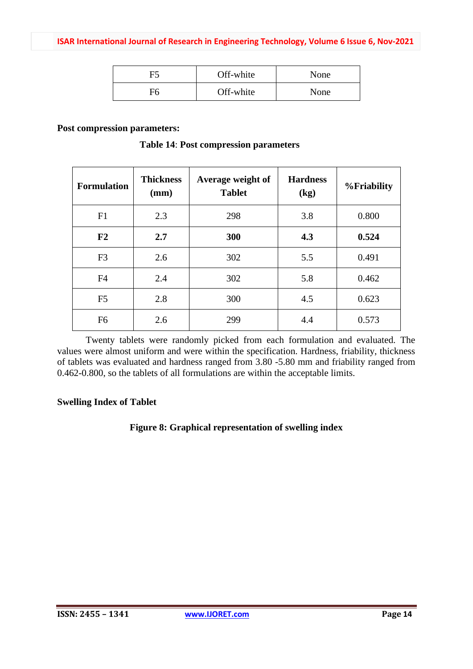|    | Off-white | None |
|----|-----------|------|
| ∓6 | Off-white | None |

#### **Post compression parameters:**

| <b>Formulation</b> | <b>Thickness</b><br>Average weight of<br><b>Tablet</b><br>(mm) |     | <b>Hardness</b><br>(kg) | <b>%Friability</b> |
|--------------------|----------------------------------------------------------------|-----|-------------------------|--------------------|
| F1                 | 2.3                                                            | 298 | 3.8                     | 0.800              |
| F2                 | 2.7                                                            | 300 | 4.3                     | 0.524              |
| F <sub>3</sub>     | 2.6                                                            | 302 | 5.5                     | 0.491              |
| F <sub>4</sub>     | 2.4                                                            | 302 | 5.8                     | 0.462              |
| F <sub>5</sub>     | 2.8                                                            | 300 | 4.5                     | 0.623              |
| F <sub>6</sub>     | 2.6                                                            | 299 | 4.4                     | 0.573              |

**Table 14**: **Post compression parameters**

Twenty tablets were randomly picked from each formulation and evaluated. The values were almost uniform and were within the specification. Hardness, friability, thickness of tablets was evaluated and hardness ranged from 3.80 -5.80 mm and friability ranged from 0.462-0.800, so the tablets of all formulations are within the acceptable limits.

### **Swelling Index of Tablet**

### **Figure 8: Graphical representation of swelling index**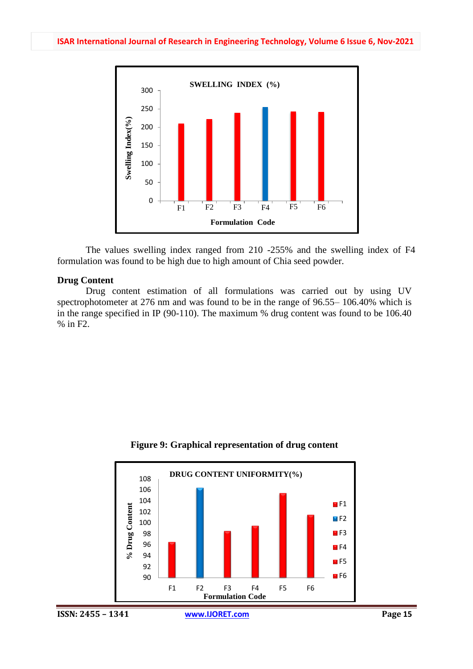

The values swelling index ranged from 210 -255% and the swelling index of F4 formulation was found to be high due to high amount of Chia seed powder.

#### **Drug Content**

Drug content estimation of all formulations was carried out by using UV spectrophotometer at 276 nm and was found to be in the range of 96.55– 106.40% which is in the range specified in IP (90-110). The maximum % drug content was found to be 106.40 % in F2.



#### **Figure 9: Graphical representation of drug content**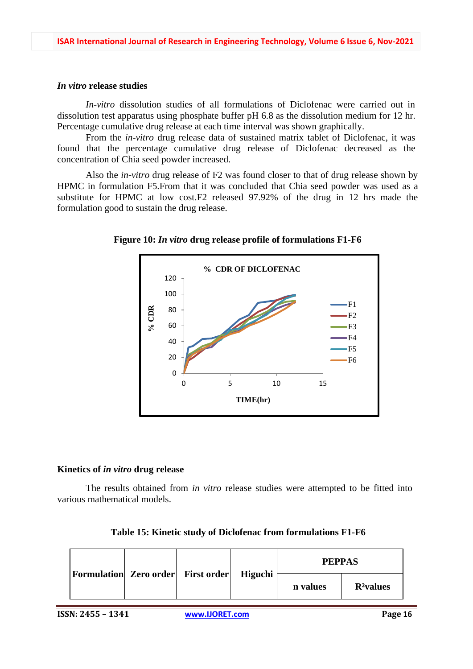### *In vitro* **release studies**

*In-vitro* dissolution studies of all formulations of Diclofenac were carried out in dissolution test apparatus using phosphate buffer pH 6.8 as the dissolution medium for 12 hr. Percentage cumulative drug release at each time interval was shown graphically.

From the *in-vitro* drug release data of sustained matrix tablet of Diclofenac, it was found that the percentage cumulative drug release of Diclofenac decreased as the concentration of Chia seed powder increased.

Also the *in-vitro* drug release of F2 was found closer to that of drug release shown by HPMC in formulation F5.From that it was concluded that Chia seed powder was used as a substitute for HPMC at low cost.F2 released 97.92% of the drug in 12 hrs made the formulation good to sustain the drug release.



**Figure 10:** *In vitro* **drug release profile of formulations F1-F6**

### **Kinetics of** *in vitro* **drug release**

The results obtained from *in vitro* release studies were attempted to be fitted into various mathematical models.

| Table 15: Kinetic study of Diclofenac from formulations F1-F6 |  |
|---------------------------------------------------------------|--|
|                                                               |  |

|                                           |  |         | <b>PEPPAS</b> |              |
|-------------------------------------------|--|---------|---------------|--------------|
| <b>Formulation</b> Zero order First order |  | Higuchi | n values      | $R^2$ values |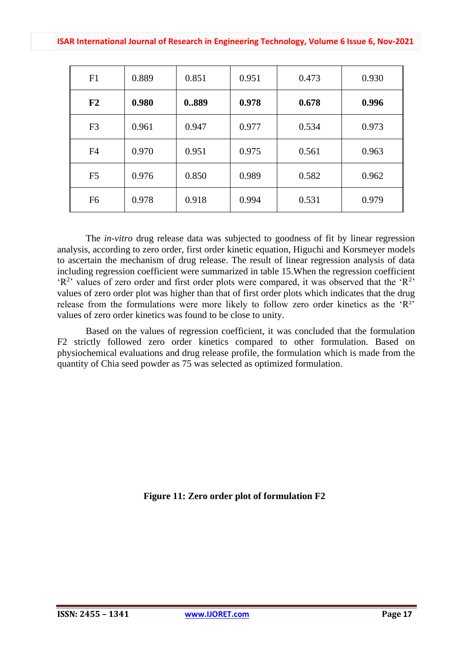| F1             | 0.889 | 0.851 | 0.951 | 0.473 | 0.930 |
|----------------|-------|-------|-------|-------|-------|
| F2             | 0.980 | 0889  | 0.978 | 0.678 | 0.996 |
| F <sub>3</sub> | 0.961 | 0.947 | 0.977 | 0.534 | 0.973 |
| F <sub>4</sub> | 0.970 | 0.951 | 0.975 | 0.561 | 0.963 |
| F <sub>5</sub> | 0.976 | 0.850 | 0.989 | 0.582 | 0.962 |
| F <sub>6</sub> | 0.978 | 0.918 | 0.994 | 0.531 | 0.979 |

The *in-vitro* drug release data was subjected to goodness of fit by linear regression analysis, according to zero order, first order kinetic equation, Higuchi and Korsmeyer models to ascertain the mechanism of drug release. The result of linear regression analysis of data including regression coefficient were summarized in table 15.When the regression coefficient  $(R<sup>2</sup>)$  values of zero order and first order plots were compared, it was observed that the ' $R<sup>2</sup>$ ' values of zero order plot was higher than that of first order plots which indicates that the drug release from the formulations were more likely to follow zero order kinetics as the 'R²' values of zero order kinetics was found to be close to unity.

Based on the values of regression coefficient, it was concluded that the formulation F2 strictly followed zero order kinetics compared to other formulation. Based on physiochemical evaluations and drug release profile, the formulation which is made from the quantity of Chia seed powder as 75 was selected as optimized formulation.

**Figure 11: Zero order plot of formulation F2**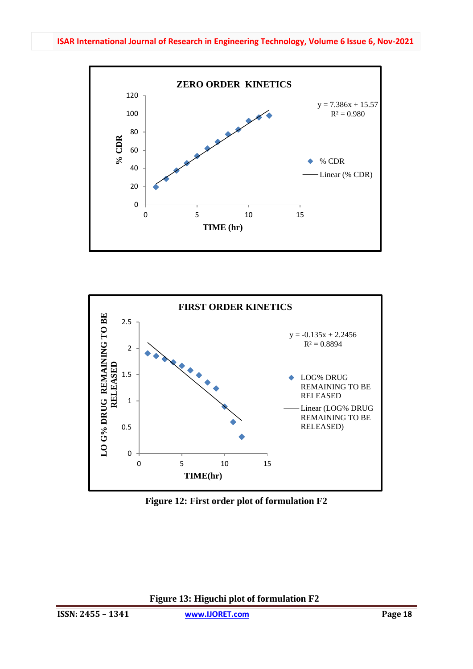



**Figure 12: First order plot of formulation F2**

**Figure 13: Higuchi plot of formulation F2**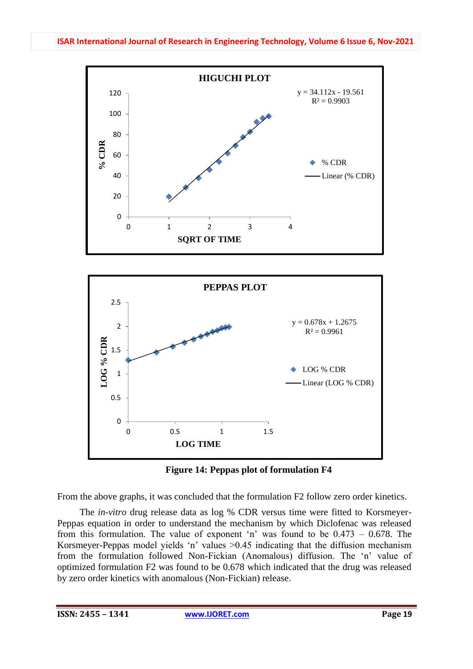





From the above graphs, it was concluded that the formulation F2 follow zero order kinetics.

The *in-vitro* drug release data as log % CDR versus time were fitted to Korsmeyer-Peppas equation in order to understand the mechanism by which Diclofenac was released from this formulation. The value of exponent 'n' was found to be 0.473 – 0.678. The Korsmeyer-Peppas model yields 'n' values >0.45 indicating that the diffusion mechanism from the formulation followed Non-Fickian (Anomalous) diffusion. The 'n' value of optimized formulation F2 was found to be 0.678 which indicated that the drug was released by zero order kinetics with anomalous (Non-Fickian) release.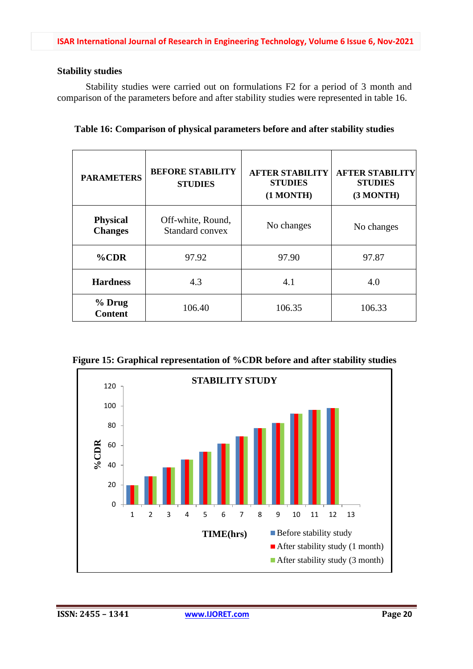### **Stability studies**

Stability studies were carried out on formulations F2 for a period of 3 month and comparison of the parameters before and after stability studies were represented in table 16.

|  |  |  | Table 16: Comparison of physical parameters before and after stability studies |  |  |  |
|--|--|--|--------------------------------------------------------------------------------|--|--|--|
|  |  |  |                                                                                |  |  |  |

| <b>PARAMETERS</b>                 | <b>BEFORE STABILITY</b><br><b>STUDIES</b> | <b>AFTER STABILITY</b><br><b>STUDIES</b><br>(1 MONTH) | <b>AFTER STABILITY</b><br><b>STUDIES</b><br>(3 MONTH) |
|-----------------------------------|-------------------------------------------|-------------------------------------------------------|-------------------------------------------------------|
| <b>Physical</b><br><b>Changes</b> | Off-white, Round,<br>Standard convex      | No changes                                            | No changes                                            |
| $%$ CDR                           | 97.92                                     | 97.90                                                 | 97.87                                                 |
| <b>Hardness</b>                   | 4.3                                       | 4.1                                                   | 4.0                                                   |
| % Drug<br><b>Content</b>          | 106.40                                    | 106.35                                                | 106.33                                                |

**Figure 15: Graphical representation of %CDR before and after stability studies**

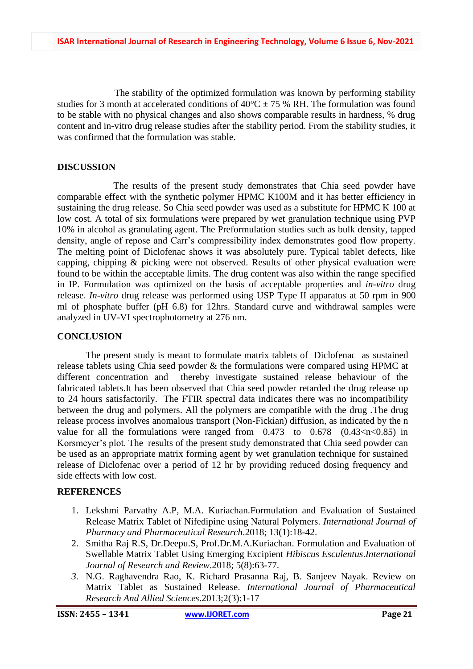The stability of the optimized formulation was known by performing stability studies for 3 month at accelerated conditions of  $40^{\circ}$ C  $\pm$  75 % RH. The formulation was found to be stable with no physical changes and also shows comparable results in hardness, % drug content and in-vitro drug release studies after the stability period. From the stability studies, it was confirmed that the formulation was stable.

### **DISCUSSION**

The results of the present study demonstrates that Chia seed powder have comparable effect with the synthetic polymer HPMC K100M and it has better efficiency in sustaining the drug release. So Chia seed powder was used as a substitute for HPMC K 100 at low cost. A total of six formulations were prepared by wet granulation technique using PVP 10% in alcohol as granulating agent. The Preformulation studies such as bulk density, tapped density, angle of repose and Carr's compressibility index demonstrates good flow property. The melting point of Diclofenac shows it was absolutely pure. Typical tablet defects, like capping, chipping & picking were not observed. Results of other physical evaluation were found to be within the acceptable limits. The drug content was also within the range specified in IP. Formulation was optimized on the basis of acceptable properties and *in-vitro* drug release. *In-vitro* drug release was performed using USP Type II apparatus at 50 rpm in 900 ml of phosphate buffer (pH 6.8) for 12hrs. Standard curve and withdrawal samples were analyzed in UV-VI spectrophotometry at 276 nm.

### **CONCLUSION**

The present study is meant to formulate matrix tablets of Diclofenac as sustained release tablets using Chia seed powder & the formulations were compared using HPMC at different concentration and thereby investigate sustained release behaviour of the fabricated tablets.It has been observed that Chia seed powder retarded the drug release up to 24 hours satisfactorily. The FTIR spectral data indicates there was no incompatibility between the drug and polymers. All the polymers are compatible with the drug .The drug release process involves anomalous transport (Non-Fickian) diffusion, as indicated by the n value for all the formulations were ranged from  $0.473$  to  $0.678$   $(0.43 < \pi < 0.85)$  in Korsmeyer's plot. The results of the present study demonstrated that Chia seed powder can be used as an appropriate matrix forming agent by wet granulation technique for sustained release of Diclofenac over a period of 12 hr by providing reduced dosing frequency and side effects with low cost.

### **REFERENCES**

- 1. Lekshmi Parvathy A.P, M.A. Kuriachan.Formulation and Evaluation of Sustained Release Matrix Tablet of Nifedipine using Natural Polymers. *International Journal of Pharmacy and Pharmaceutical Research*.2018; 13(1):18-42.
- 2. Smitha Raj R.S, Dr.Deepu.S, Prof.Dr.M.A.Kuriachan. Formulation and Evaluation of Swellable Matrix Tablet Using Emerging Excipient *Hibiscus Esculentus*.*International Journal of Research and Review*.2018; 5(8):63-77.
- *3.* N.G. Raghavendra Rao, K. Richard Prasanna Raj, B. Sanjeev Nayak. Review on Matrix Tablet as Sustained Release. *International Journal of Pharmaceutical Research And Allied Sciences*.2013;2(3):1-17